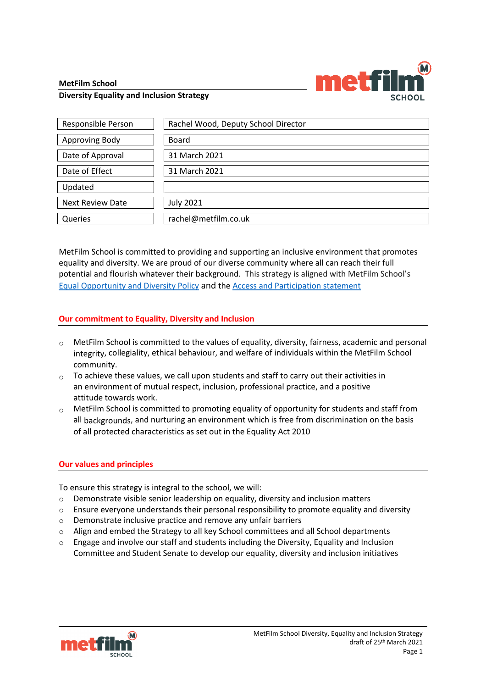#### **MetFilm School**



#### **Diversity Equality and Inclusion Strategy**

| Responsible Person      | Rachel Wood, Deputy School Director |
|-------------------------|-------------------------------------|
| Approving Body          | Board                               |
| Date of Approval        | 31 March 2021                       |
| Date of Effect          | 31 March 2021                       |
| Updated                 |                                     |
| <b>Next Review Date</b> | <b>July 2021</b>                    |
| Queries                 | rachel@metfilm.co.uk                |

MetFilm School is committed to providing and supporting an inclusive environment that promotes equality and diversity. We are proud of our diverse community where all can reach their full potential and flourish whatever their background. This strategy is aligned with MetFilm School's [Equal Opportunity and Diversity Policy](https://nw1761q175jkp2hnjhhmmlth-wpengine.netdna-ssl.com/wp-content/uploads/2020/09/MetFilm-School-Equal-Opportunity-Policy-20-01-02.pdf) and th[e Access and Participation statement](https://www.metfilmschool.ac.uk/whymetfilm/met-film-school-access-statement/)

### **Our commitment to Equality, Diversity and Inclusion**

- $\circ$  MetFilm School is committed to the values of equality, diversity, fairness, academic and personal integrity, collegiality, ethical behaviour, and welfare of individuals within the MetFilm School community.
- $\circ$  To achieve these values, we call upon students and staff to carry out their activities in an environment of mutual respect, inclusion, professional practice, and a positive attitude towards work.
- $\circ$  MetFilm School is committed to promoting equality of opportunity for students and staff from all backgrounds, and nurturing an environment which is free from discrimination on the basis of all protected characteristics as set out in the Equality Act 2010

# **Our values and principles**

To ensure this strategy is integral to the school, we will:

- $\circ$  Demonstrate visible senior leadership on equality, diversity and inclusion matters
- $\circ$  Ensure everyone understands their personal responsibility to promote equality and diversity
- o Demonstrate inclusive practice and remove any unfair barriers
- $\circ$  Align and embed the Strategy to all key School committees and all School departments
- $\circ$  Engage and involve our staff and students including the Diversity, Equality and Inclusion Committee and Student Senate to develop our equality, diversity and inclusion initiatives

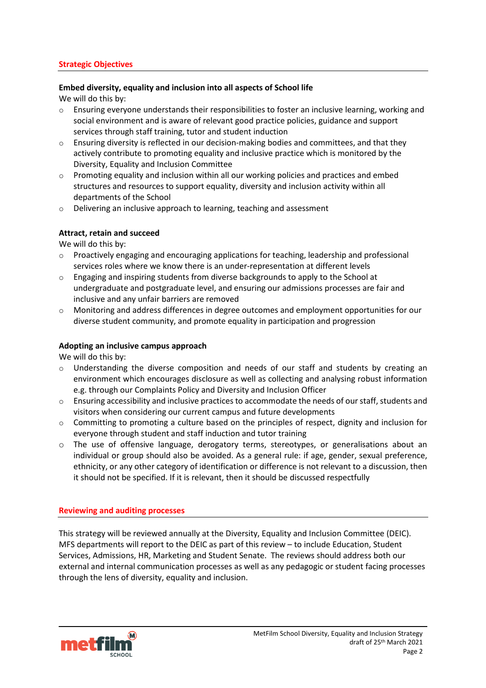### **Strategic Objectives**

### **Embed diversity, equality and inclusion into all aspects of School life**

We will do this by:

- $\circ$  Ensuring everyone understands their responsibilities to foster an inclusive learning, working and social environment and is aware of relevant good practice policies, guidance and support services through staff training, tutor and student induction
- $\circ$  Ensuring diversity is reflected in our decision-making bodies and committees, and that they actively contribute to promoting equality and inclusive practice which is monitored by the Diversity, Equality and Inclusion Committee
- $\circ$  Promoting equality and inclusion within all our working policies and practices and embed structures and resources to support equality, diversity and inclusion activity within all departments of the School
- o Delivering an inclusive approach to learning, teaching and assessment

# **Attract, retain and succeed**

We will do this by:

- $\circ$  Proactively engaging and encouraging applications for teaching, leadership and professional services roles where we know there is an under-representation at different levels
- $\circ$  Engaging and inspiring students from diverse backgrounds to apply to the School at undergraduate and postgraduate level, and ensuring our admissions processes are fair and inclusive and any unfair barriers are removed
- $\circ$  Monitoring and address differences in degree outcomes and employment opportunities for our diverse student community, and promote equality in participation and progression

# **Adopting an inclusive campus approach**

We will do this by:

- $\circ$  Understanding the diverse composition and needs of our staff and students by creating an environment which encourages disclosure as well as collecting and analysing robust information e.g. through our Complaints Policy and Diversity and Inclusion Officer
- $\circ$  Ensuring accessibility and inclusive practices to accommodate the needs of our staff, students and visitors when considering our current campus and future developments
- $\circ$  Committing to promoting a culture based on the principles of respect, dignity and inclusion for everyone through student and staff induction and tutor training
- o The use of offensive language, derogatory terms, stereotypes, or generalisations about an individual or group should also be avoided. As a general rule: if age, gender, sexual preference, ethnicity, or any other category of identification or difference is not relevant to a discussion, then it should not be specified. If it is relevant, then it should be discussed respectfully

#### **Reviewing and auditing processes**

This strategy will be reviewed annually at the Diversity, Equality and Inclusion Committee (DEIC). MFS departments will report to the DEIC as part of this review – to include Education, Student Services, Admissions, HR, Marketing and Student Senate. The reviews should address both our external and internal communication processes as well as any pedagogic or student facing processes through the lens of diversity, equality and inclusion.